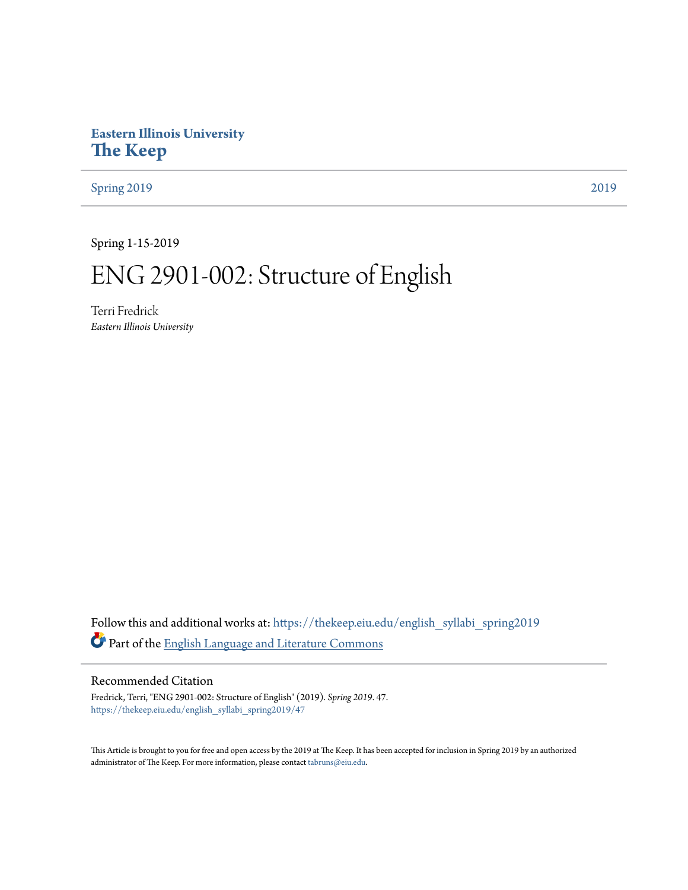# **Eastern Illinois University [The Keep](https://thekeep.eiu.edu?utm_source=thekeep.eiu.edu%2Fenglish_syllabi_spring2019%2F47&utm_medium=PDF&utm_campaign=PDFCoverPages)**

[Spring 2019](https://thekeep.eiu.edu/english_syllabi_spring2019?utm_source=thekeep.eiu.edu%2Fenglish_syllabi_spring2019%2F47&utm_medium=PDF&utm_campaign=PDFCoverPages) [2019](https://thekeep.eiu.edu/english_syllabi2019?utm_source=thekeep.eiu.edu%2Fenglish_syllabi_spring2019%2F47&utm_medium=PDF&utm_campaign=PDFCoverPages)

Spring 1-15-2019

# ENG 2901-002: Structure of English

Terri Fredrick *Eastern Illinois University*

Follow this and additional works at: [https://thekeep.eiu.edu/english\\_syllabi\\_spring2019](https://thekeep.eiu.edu/english_syllabi_spring2019?utm_source=thekeep.eiu.edu%2Fenglish_syllabi_spring2019%2F47&utm_medium=PDF&utm_campaign=PDFCoverPages) Part of the [English Language and Literature Commons](http://network.bepress.com/hgg/discipline/455?utm_source=thekeep.eiu.edu%2Fenglish_syllabi_spring2019%2F47&utm_medium=PDF&utm_campaign=PDFCoverPages)

# Recommended Citation

Fredrick, Terri, "ENG 2901-002: Structure of English" (2019). *Spring 2019*. 47. [https://thekeep.eiu.edu/english\\_syllabi\\_spring2019/47](https://thekeep.eiu.edu/english_syllabi_spring2019/47?utm_source=thekeep.eiu.edu%2Fenglish_syllabi_spring2019%2F47&utm_medium=PDF&utm_campaign=PDFCoverPages)

This Article is brought to you for free and open access by the 2019 at The Keep. It has been accepted for inclusion in Spring 2019 by an authorized administrator of The Keep. For more information, please contact [tabruns@eiu.edu.](mailto:tabruns@eiu.edu)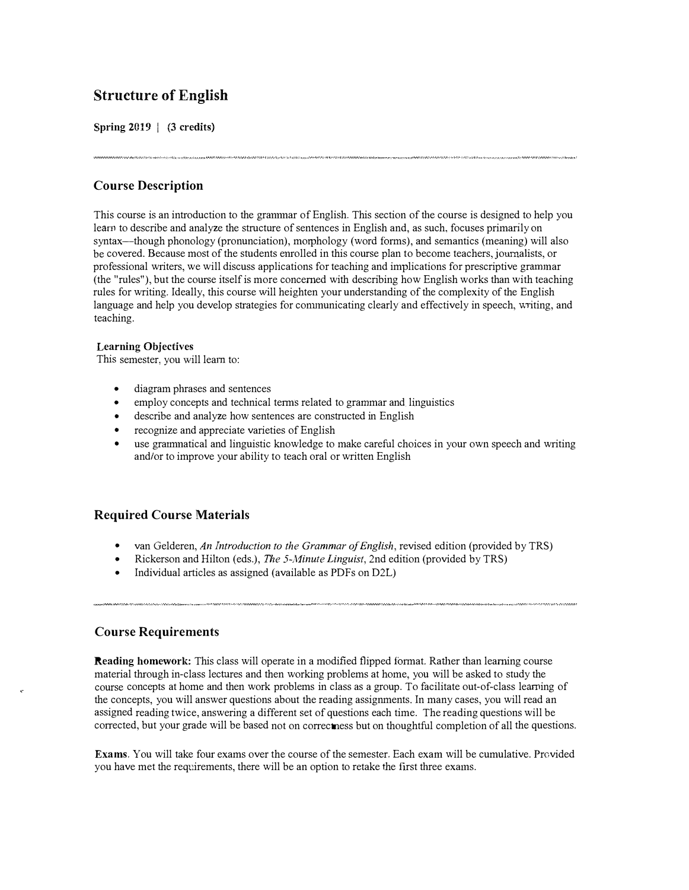# Structure of English

Spring  $2019$  | (3 credits)

# Course Description

This course is an introduction to the grannnar of English. This section of the course is designed to help you learn to describe and analyze the structure of sentences in English and, as such, focuses primarily on syntax—though phonology (pronunciation), morphology (word forms), and semantics (meaning) will also be covered. Because most of the students enrolled in this course plan to become teachers, journalists, or professional writers, we will discuss applications for teaching and implications for prescriptive grammar (the "rules"), but the course itself is more concerned with describing how English works than with teaching rules for writing. Ideally, this course will heighten your understanding of the complexity of the English language and help you develop strategies for communicating clearly and effectively in speech, writing, and teaching.

#### Learning Objectives

This semester, you will learn to:

- diagram phrases and sentences
- employ concepts and technical terms related to grammar and linguistics
- describe and analyze how sentences are constructed in English
- recognize and appreciate varieties of English
- use grarmnatical and linguistic knowledge to make careful choices in your own speech and writing and/or to improve your ability to teach oral or written English

# Required Course Materials

- van Gelderen, An Introduction to the Grammar of English, revised edition (provided by TRS)
- Rickerson and Hilton (eds.), The 5-Minute Linguist, 2nd edition (provided by TRS)
- Individual articles as assigned (available as PDFs on D2L)

# Course Requirements

Reading homework: This class will operate in a modified flipped format. Rather than learning course material through in-class lectures and then working problems at home, you will be asked to study the course concepts at home and then work problems in class as a group. To facilitate out-of-class learning of the concepts, you will answer questions about the reading assignments. In many cases, you will read an assigned reading twice, answering a different set of questions each time. The reading questions will be corrected, but your grade will be based not on correctness but on thoughtful completion of all the questions.

Exams. You will take four exams over the course of the semester. Each exam will be cumulative. Provided you have met the requirements, there will be an option to retake the first three exams.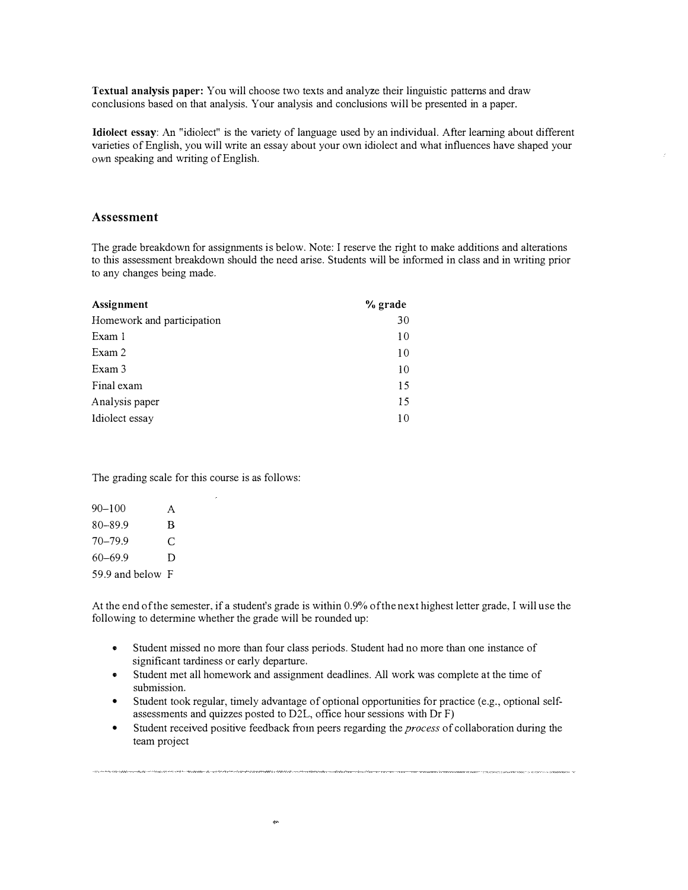Textual analysis paper: You will choose two texts and analyze their linguistic patterns and draw conclusions based on that analysis. Your analysis and conclusions will be presented in a paper.

Idiolect essay: An "idiolect" is the variety of language used by an individual. After learning about different varieties of English, you will write an essay about your own idiolect and what influences have shaped your own speaking and writing of English.

#### Assessment

The grade breakdown for assignments is below. Note: I reserve the right to make additions and alterations to this assessment breakdown should the need arise. Students will be informed in class and in writing prior to any changes being made.

| <b>Assignment</b>          | % grade |
|----------------------------|---------|
| Homework and participation | 30      |
| Exam 1                     | 10      |
| Exam 2                     | 10      |
| Exam 3                     | 10      |
| Final exam                 | 15      |
| Analysis paper             | 15      |
| Idiolect essay             | 10      |

The grading scale for this course is as follows:

| $90 - 100$       | A |
|------------------|---|
| $80 - 89.9$      | B |
| $70 - 799$       | C |
| $60 - 69.9$      | D |
| 59.9 and below F |   |

At the end of the semester, if a student's grade is within 0.9% of the next highest letter grade, I will use the following to determine whether the grade will be rounded up:

- Student missed no more than four class periods. Student had no more than one instance of significant tardiness or early departure.
- Student met all homework and assignment deadlines. All work was complete at the time of submission.
- Student took regular, timely advantage of optional opportunities for practice (e.g., optional selfassessrnents and quizzes posted to D2L, office hour sessions with Dr F)
- Student received positive feedback from peers regarding the *process* of collaboration during the team project

ger.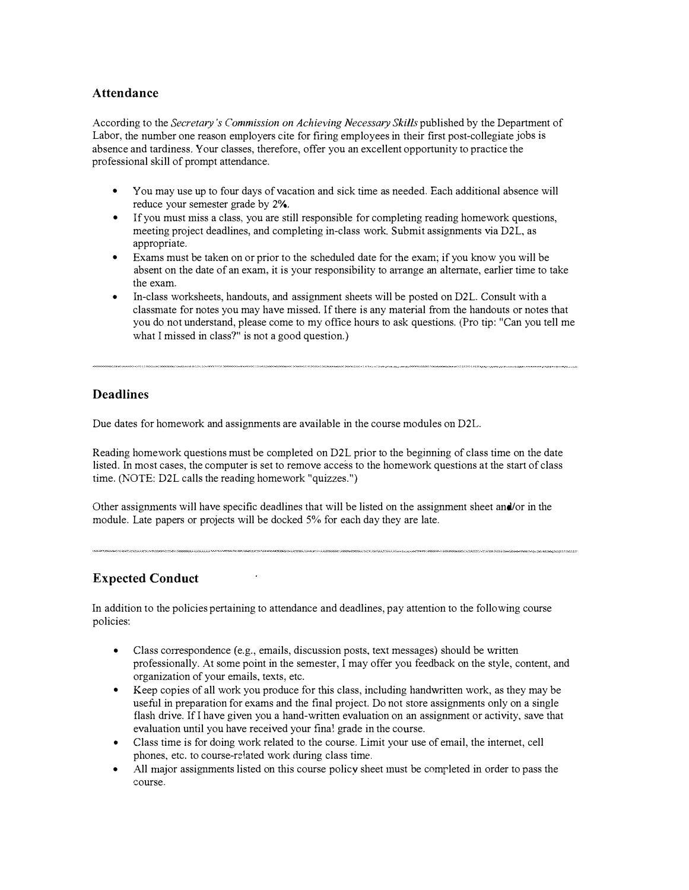## Attendance

According to the Secretary's Commission on Achieving Necessary Skills published by the Department of Labor, the number one reason employers cite for firing employees in their first post-collegiate jobs is absence and tardiness. Your classes, therefore, offer you an excellent opportunity to practice the professional skill of prompt attendance.

- You may use up to four days of vacation and sick time as needed. Each additional absence will reduce your semester grade by  $2\%$ .
- If you must miss a class, you are still responsible for completing reading homework questions, meeting project deadlines, and completing in-class work. Submit assignments via D2L, as appropriate.
- Exams must be taken on or prior to the scheduled date for the exam; if you know you will be absent on the date of an exam, it is your responsibility to arrange an alternate, earlier time to take the exam.
- In-class worksheets, handouts, and assignment sheets will be posted on D2L. Consult with a classmate for notes you may have missed. If there is any material from the handouts or notes that you do not understand, please come to my office hours to ask questions. (Pro tip: "Can you tell me what I missed in class?" is not a good question.)

# Deadlines

Due dates for homework and assignments are available in the course modules on D2L.

Reading homework questions must be completed on D2L prior to the beginning of class time on the date listed. In most cases, the computer is set to remove access to the homework questions at the start of class time. (NOTE: D2L calls the reading homework "quizzes.")

Other assignments will have specific deadlines that will be listed on the assignment sheet and/or in the module. Late papers or projects will be docked 5% for each day they are late.

# Expected Conduct

In addition to the policies pertaining to attendance and deadlines, pay attention to the following course policies:

- Class correspondence (e.g., emails, discussion posts, text messages) should be written professionally. At some point in the semester, I may offer you feedback on the style, content, and organization of your emails, texts, etc.
- Keep copies of all work you produce for this class, including handwritten work, as they may be useful in preparation for exams and the final project. Do not store assignments only on a single flash drive. If I have given you a hand-written evaluation on an assignment or activity, save that evaluation until you have received your fina! grade in the course.
- Class time is for doing work related to the course. Limit your use of email, the internet, cell phones, etc. to course-related work during class time.
- All major assignments listed on this course policy sheet must be completed in order to pass the course.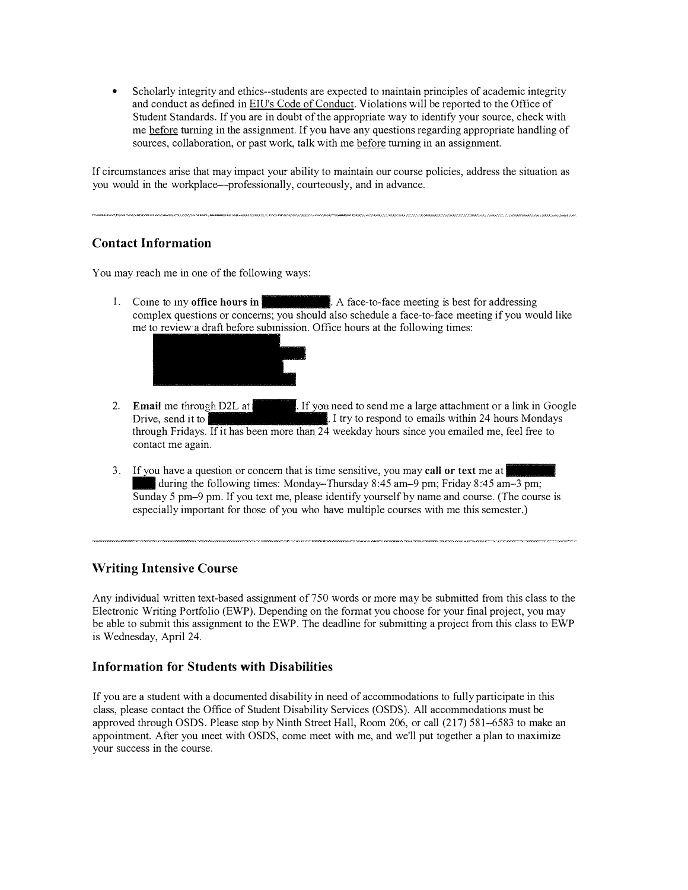• Scholarly integrity and ethics--students are expected to maintain principles of academic integrity and conduct as defined in EIU's Code of Conduct. Violations will be reported to the Office of Student Standards. If you are in doubt of the appropriate way to identify your source, check with me before turning in the assignment. If you have any questions regarding appropriate handling of sources, collaboration, or past work, talk with me before turning in an assignment.

If circumstances arise that may impact yom ability to maintain our course policies, address the situation as you would in the workplace--professionally, courteously, and in advance.

# Contact Information

You may reach me in one of the following ways:

1. Come to my office hours in  $\mathbb R$ . A face-to-face meeting is best for addressing complex questions or concerns; you should also schedule a face-to-face meeting if you would like me to review a draft before subinission. Office hours at the following times:



- 2. Email me through D2L at 1 If you need to send me a large attachment or a link in Google Drive, send it to  $\cdot$  I fixed to enails within 24 hours Mondays through Fridays. If it has been more than 24 weekday hours since you emailed me, feel free to contact me again.
- 3. If you have a question or concern that is time sensitive, you may **call or text** me at during the following times: Monday-Thursday 8:45 am-9 pm; Friday 8:45 am-3 pm; - Sunday 5 pm-9 pm. If you text me, please identify yourself by name and course. (The course is especially important for those of you who have multiple courses with me this semester.)

# Writing Intensive Course

Any individual written text-based assignment of750 words or more may be submitted from this class to the Electronic Writing Portfolio (EWP). Depending on the format you choose for your final project, you may be able to submit this assignment to the EWP. The deadline for submitting a project from this class to EWP is Wednesday, April 24.

# Information for Students with Disabilities

If you are a student with a documented disability in need of accommodations to fully participate in this class, please contact the Office of Student Disability Services (OSDS). All accommodations must be approved through OSDS. Please stop by Ninth Street Hall, Room 206, or call (217) 581-6583 to make an appointment. After you ineet with OSDS, come meet with me, and we'll put together a plan to inaximize your success in the course.